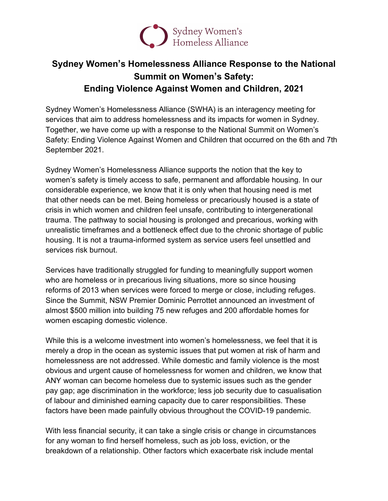

## **Sydney Women's Homelessness Alliance Response to the National Summit on Women's Safety: Ending Violence Against Women and Children, 2021**

Sydney Women's Homelessness Alliance (SWHA) is an interagency meeting for services that aim to address homelessness and its impacts for women in Sydney. Together, we have come up with a response to the National Summit on Women's Safety: Ending Violence Against Women and Children that occurred on the 6th and 7th September 2021.

Sydney Women's Homelessness Alliance supports the notion that the key to women's safety is timely access to safe, permanent and affordable housing. In our considerable experience, we know that it is only when that housing need is met that other needs can be met. Being homeless or precariously housed is a state of crisis in which women and children feel unsafe, contributing to intergenerational trauma. The pathway to social housing is prolonged and precarious, working with unrealistic timeframes and a bottleneck effect due to the chronic shortage of public housing. It is not a trauma-informed system as service users feel unsettled and services risk burnout.

Services have traditionally struggled for funding to meaningfully support women who are homeless or in precarious living situations, more so since housing reforms of 2013 when services were forced to merge or close, including refuges. Since the Summit, NSW Premier Dominic Perrottet announced an investment of almost \$500 million into building 75 new refuges and 200 affordable homes for women escaping domestic violence.

While this is a welcome investment into women's homelessness, we feel that it is merely a drop in the ocean as systemic issues that put women at risk of harm and homelessness are not addressed. While domestic and family violence is the most obvious and urgent cause of homelessness for women and children, we know that ANY woman can become homeless due to systemic issues such as the gender pay gap; age discrimination in the workforce; less job security due to casualisation of labour and diminished earning capacity due to carer responsibilities. These factors have been made painfully obvious throughout the COVID-19 pandemic.

With less financial security, it can take a single crisis or change in circumstances for any woman to find herself homeless, such as job loss, eviction, or the breakdown of a relationship. Other factors which exacerbate risk include mental